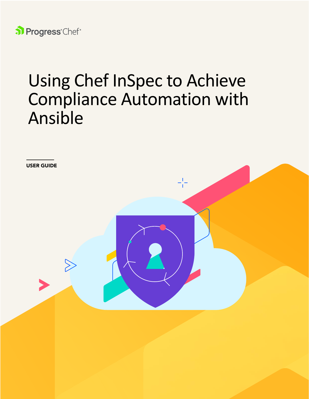

# Using Chef InSpec to Achieve Compliance Automation with Ansible

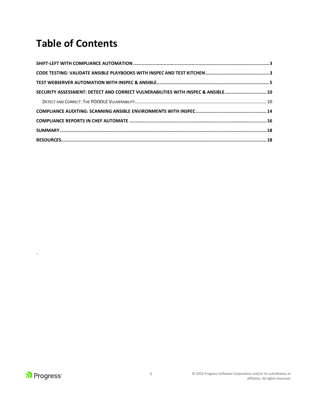## **Table of Contents**

| SECURITY ASSESSMENT: DETECT AND CORRECT VULNERABILITIES WITH INSPEC & ANSIBLE 10 |  |
|----------------------------------------------------------------------------------|--|
|                                                                                  |  |
|                                                                                  |  |
|                                                                                  |  |
|                                                                                  |  |
|                                                                                  |  |

 $\hat{\mathbf{v}}$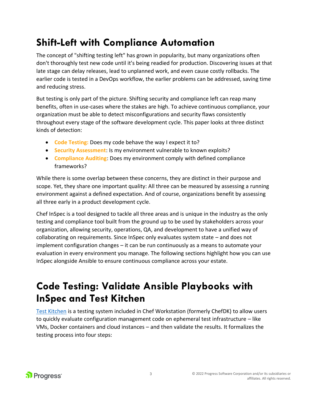### <span id="page-2-0"></span>**Shift-Left with Compliance Automation**

The concept of "shifting testing left" has grown in popularity, but many organizations often don't thoroughly test new code until it's being readied for production. Discovering issues at that late stage can delay releases, lead to unplanned work, and even cause costly rollbacks. The earlier code is tested in a DevOps workflow, the earlier problems can be addressed, saving time and reducing stress.

But testing is only part of the picture. Shifting security and compliance left can reap many benefits, often in use-cases where the stakes are high. To achieve continuous compliance, your organization must be able to detect misconfigurations and security flaws consistently throughout every stage of the software development cycle. This paper looks at three distinct kinds of detection:

- **Code Testing:** Does my code behave the way I expect it to?
- **Security Assessment**: Is my environment vulnerable to known exploits?
- **Compliance Auditing**: Does my environment comply with defined compliance frameworks?

While there is some overlap between these concerns, they are distinct in their purpose and scope. Yet, they share one important quality: All three can be measured by assessing a running environment against a defined expectation. And of course, organizations benefit by assessing all three early in a product development cycle.

Chef InSpec is a tool designed to tackle all three areas and is unique in the industry as the only testing and compliance tool built from the ground up to be used by stakeholders across your organization, allowing security, operations, QA, and development to have a unified way of collaborating on requirements. Since InSpec only evaluates system state – and does not implement configuration changes – it can be run continuously as a means to automate your evaluation in every environment you manage. The following sections highlight how you can use InSpec alongside Ansible to ensure continuous compliance across your estate.

#### <span id="page-2-1"></span>**Code Testing: Validate Ansible Playbooks with InSpec and Test Kitchen**

[Test Kitchen](https://docs.chef.io/workstation/kitchen/) is a testing system included in Chef Workstation (formerly ChefDK) to allow users to quickly evaluate configuration management code on ephemeral test infrastructure – like VMs, Docker containers and cloud instances – and then validate the results. It formalizes the testing process into four steps:

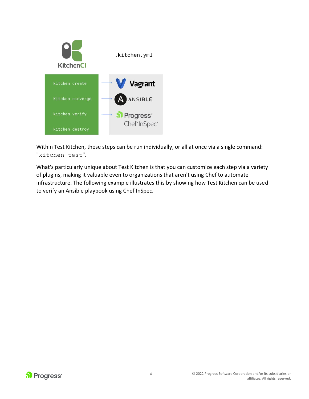

Within Test Kitchen, these steps can be run individually, or all at once via a single command: "kitchen test".

What's particularly unique about Test Kitchen is that you can customize each step via a variety of plugins, making it valuable even to organizations that aren't using Chef to automate infrastructure. The following example illustrates this by showing how Test Kitchen can be used to verify an Ansible playbook using Chef InSpec.

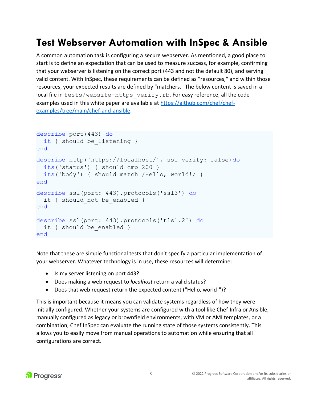#### <span id="page-4-0"></span>**Test Webserver Automation with InSpec & Ansible**

A common automation task is configuring a secure webserver. As mentioned, a good place to start is to define an expectation that can be used to measure success, for example, confirming that your webserver is listening on the correct port (443 and not the default 80), and serving valid content. With InSpec, these requirements can be defined as "resources," and within those resources, your expected results are defined by "matchers." The below content is saved in a local file in tests/website-https verify.rb. For easy reference, all the code examples used in this white paper are available at [https://github.com/chef/chef](https://github.com/chef/chef-examples/tree/main/chef-and-ansible)[examples/tree/main/chef-and-ansible.](https://github.com/chef/chef-examples/tree/main/chef-and-ansible)

```
describe port(443) do
  it { should be listening }
end 
describe http('https://localhost/', ssl_verify: false)do 
   its('status') { should cmp 200 } 
   its('body') { should match /Hello, world!/ } 
end 
describe ssl(port: 443).protocols('ssl3') do
 it { should not be enabled }
end
describe ssl(port: 443).protocols('tls1.2') do
  it { should be enabled }
end
```
Note that these are simple functional tests that don't specify a particular implementation of your webserver. Whatever technology is in use, these resources will determine:

- Is my server listening on port 443?
- Does making a web request to *localhost* return a valid status?
- Does that web request return the expected content ("Hello, world!")?

This is important because it means you can validate systems regardless of how they were initially configured. Whether your systems are configured with a tool like Chef Infra or Ansible, manually configured as legacy or brownfield environments, with VM or AMI templates, or a combination, Chef InSpec can evaluate the running state of those systems consistently. This allows you to easily move from manual operations to automation while ensuring that all configurations are correct.

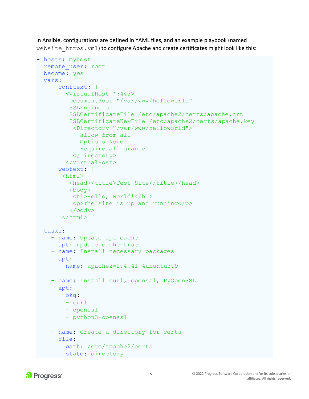In Ansible, configurations are defined in YAML files, and an example playbook (named website https.yml) to configure Apache and create certificates might look like this:

```
- hosts: myhost 
  remote user: root
 become: yes
   vars:
       conftext: |
         <VirtualHost *:443>
          DocumentRoot "/var/www/helloworld"
          SSLEngine on
          SSLCertificateFile /etc/apache2/certs/apache.crt
          SSLCertificateKeyFile /etc/apache2/certs/apache.key
           <Directory "/var/www/helloworld">
             allow from all
             Options None
             Require all granted
           </Directory>
         </VirtualHost>
       webtext: |
       <html><head><title>Test Site</title>/head>
          <body>
           <h1>Hello, world!</h1>
          p>The site is up and runningp> </body>
        </html>
   tasks: 
    - name: Update apt cache
      apt: update cache=true
     - name: Install necessary packages
       apt: 
         name: apache2=2.4.41-4ubuntu3.9
    - name: Install curl, openssl, PyOpenSSL
       apt:
         pkg:
         - curl
         - openssl
         - python3-openssl
     - name: Create a directory for certs
       file:
         path: /etc/apache2/certs
         state: directory
```
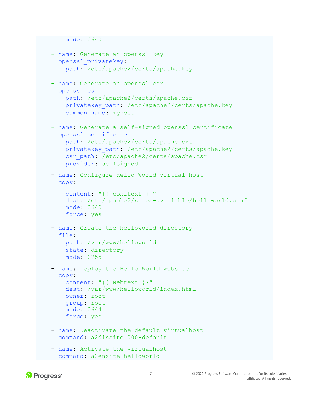```
 mode: 0640
 - name: Generate an openssl key
   openssl_privatekey:
     path: /etc/apache2/certs/apache.key
 - name: Generate an openssl csr
   openssl_csr:
     path: /etc/apache2/certs/apache.csr
     privatekey_path: /etc/apache2/certs/apache.key
     common_name: myhost
 - name: Generate a self-signed openssl certificate
   openssl_certificate:
     path: /etc/apache2/certs/apache.crt
     privatekey_path: /etc/apache2/certs/apache.key
    csr_path: /etc/apache2/certs/apache.csr
     provider: selfsigned
 - name: Configure Hello World virtual host
   copy: 
     content: "{{ conftext }}"
     dest: /etc/apache2/sites-available/helloworld.conf
     mode: 0640
     force: yes
 - name: Create the helloworld directory
   file: 
     path: /var/www/helloworld
     state: directory 
     mode: 0755 
 - name: Deploy the Hello World website
   copy: 
    content: "{{ webtext }}"
     dest: /var/www/helloworld/index.html
     owner: root
     group: root
     mode: 0644
     force: yes
 - name: Deactivate the default virtualhost
   command: a2dissite 000-default
 - name: Activate the virtualhost
```

```
 command: a2ensite helloworld
```
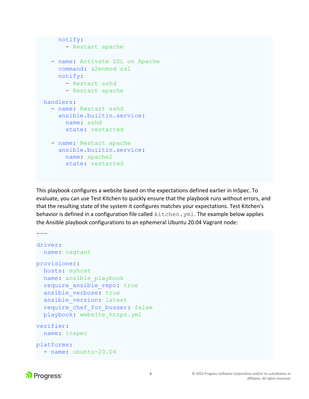```
 notify:
       - Restart apache
   - name: Activate SSL on Apache
     command: a2enmod ssl
     notify:
       - Restart sshd
       - Restart apache
 handlers: 
   - name: Restart sshd
     ansible.builtin.service:
       name: sshd
       state: restarted
   - name: Restart apache
     ansible.builtin.service:
       name: apache2
       state: restarted
```
This playbook configures a website based on the expectations defined earlier in InSpec. To evaluate, you can use Test Kitchen to quickly ensure that the playbook runs without errors, and that the resulting state of the system it configures matches your expectations. Test Kitchen's behavior is defined in a configuration file called kitchen. yml. The example below applies the Ansible playbook configurations to an ephemeral Ubuntu 20.04 Vagrant node:

```
driver: 
  name: vagrant 
provisioner: 
  hosts: myhost
   name: ansible_playbook 
   require_ansible_repo: true 
  ansible verbose: true
   ansible_version: latest 
  require chef for busser: false
   playbook: website_https.yml
verifier: 
  name: inspec 
platforms: 
   - name: ubuntu-20.04
```
 $-$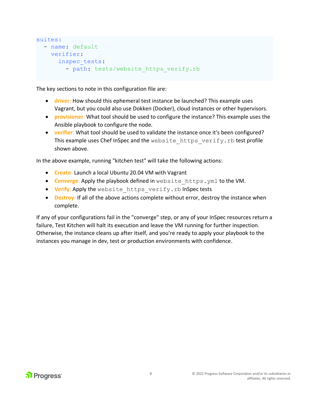```
suites: 
   - name: default 
     verifier: 
       inspec_tests: 
         - path: tests/website https verify.rb
```
The key sections to note in this configuration file are:

- **driver**: How should this ephemeral test instance be launched? This example uses Vagrant, but you could also use Dokken (Docker), cloud instances or other hypervisors.
- **provisioner**: What tool should be used to configure the instance? This example uses the Ansible playbook to configure the node.
- **verifier**: What tool should be used to validate the instance once it's been configured? This example uses Chef InSpec and the website https verify.rb test profile shown above.

In the above example, running "kitchen test" will take the following actions:

- **Create**: Launch a local Ubuntu 20.04 VM with Vagrant
- **Converge:** Apply the playbook defined in website https.yml to the VM.
- **Verify**: Apply the website\_https\_verify.rb InSpec tests
- **Destroy**: If all of the above actions complete without error, destroy the instance when complete.

If any of your configurations fail in the "converge" step, or any of your InSpec resources return a failure, Test Kitchen will halt its execution and leave the VM running for further inspection. Otherwise, the instance cleans up after itself, and you're ready to apply your playbook to the instances you manage in dev, test or production environments with confidence.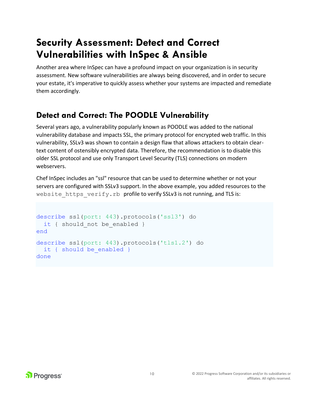#### <span id="page-9-0"></span>**Security Assessment: Detect and Correct Vulnerabilities with InSpec & Ansible**

Another area where InSpec can have a profound impact on your organization is in security assessment. New software vulnerabilities are always being discovered, and in order to secure your estate, it's imperative to quickly assess whether your systems are impacted and remediate them accordingly.

#### <span id="page-9-1"></span>**Detect and Correct: The POODLE Vulnerability**

Several years ago, a vulnerability popularly known as POODLE was added to the national vulnerability database and impacts SSL, the primary protocol for encrypted web traffic. In this vulnerability, SSLv3 was shown to contain a design flaw that allows attackers to obtain cleartext content of ostensibly encrypted data. Therefore, the recommendation is to disable this older SSL protocol and use only Transport Level Security (TLS) connections on modern webservers.

Chef InSpec includes an "ssl" resource that can be used to determine whether or not your servers are configured with SSLv3 support. In the above example, you added resources to the website https verify.rb profile to verify SSLv3 is not running, and TLS is:

```
describe ssl(port: 443).protocols('ssl3') do 
  it { should not be enabled }
end 
describe ssl(port: 443).protocols('tls1.2') do
  it { should be enabled }
done
```
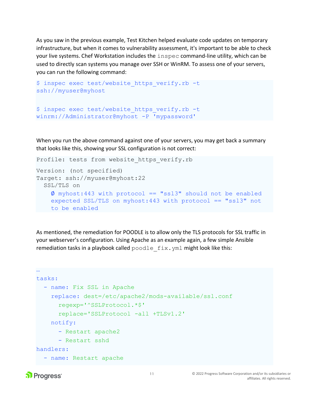As you saw in the previous example, Test Kitchen helped evaluate code updates on temporary infrastructure, but when it comes to vulnerability assessment, it's important to be able to check your live systems. Chef Workstation includes the inspec command-line utility, which can be used to directly scan systems you manage over SSH or WinRM. To assess one of your servers, you can run the following command:

```
$ inspec exec test/website https verify.rb -t
ssh://myuser@myhost
```

```
$ inspec exec test/website https verify.rb -t
winrm://Administrator@myhost -P 'mypassword'
```
When you run the above command against one of your servers, you may get back a summary that looks like this, showing your SSL configuration is not correct:

```
Profile: tests from website https verify.rb
Version: (not specified) 
Target: ssh://myuser@myhost:22 
   SSL/TLS on 
    \phi myhost:443 with protocol == "ssl3" should not be enabled
     expected SSL/TLS on myhost:443 with protocol == "ssl3" not
     to be enabled
```
As mentioned, the remediation for POODLE is to allow only the TLS protocols for SSL traffic in your webserver's configuration. Using Apache as an example again, a few simple Ansible remediation tasks in a playbook called  $p$ oodle  $fix$ .  $yml$  might look like this:

```
…
tasks: 
   - name: Fix SSL in Apache 
     replace: dest=/etc/apache2/mods-available/ssl.conf 
       regexp='^SSLProtocol.*$' 
       replace='SSLProtocol -all +TLSv1.2' 
     notify: 
       - Restart apache2 
       - Restart sshd
handlers:
  - name: Restart apache
```
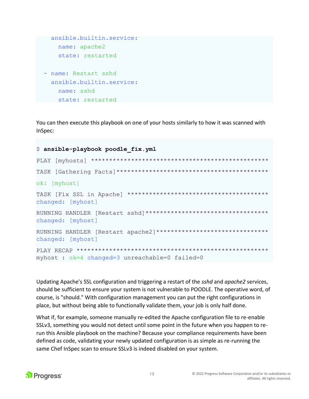```
 ansible.builtin.service:
     name: apache2
     state: restarted
 - name: Restart sshd
   ansible.builtin.service:
     name: sshd
     state: restarted
```
You can then execute this playbook on one of your hosts similarly to how it was scanned with InSpec:

```
$ ansible-playbook poodle_fix.yml 
PLAY [myhosts] ************************************************* 
TASK [Gathering Facts]****************************************** 
ok: [myhost]
TASK [Fix SSL in Apache] *************************************** 
changed: [myhost] 
RUNNING HANDLER [Restart sshd]********************************** 
changed: [myhost] 
RUNNING HANDLER [Restart apache2]******************************* 
changed: [myhost]
PLAY RECAP ***************************************************** 
myhost : ok=4 changed=3 unreachable=0 failed=0
```
Updating Apache's SSL configuration and triggering a restart of the *sshd* and *apache2* services, should be sufficient to ensure your system is not vulnerable to POODLE. The operative word, of course, is "should." With configuration management you can put the right configurations in place, but without being able to functionally validate them, your job is only half done.

What if, for example, someone manually re-edited the Apache configuration file to re-enable SSLv3, something you would not detect until some point in the future when you happen to rerun this Ansible playbook on the machine? Because your compliance requirements have been defined as code, validating your newly updated configuration is as simple as re-running the same Chef InSpec scan to ensure SSLv3 is indeed disabled on your system.

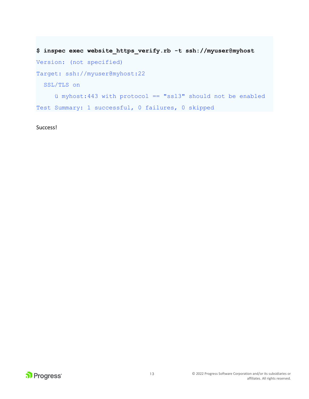```
$ inspec exec website_https_verify.rb -t ssh://myuser@myhost 
Version: (not specified) 
Target: ssh://myuser@myhost:22 
   SSL/TLS on 
     ü myhost:443 with protocol == "ssl3" should not be enabled
Test Summary: 1 successful, 0 failures, 0 skipped
```
Success!

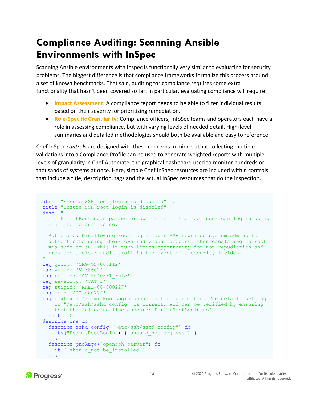#### <span id="page-13-0"></span>**Compliance Auditing: Scanning Ansible Environments with InSpec**

Scanning Ansible environments with Inspec is functionally very similar to evaluating for security problems. The biggest difference is that compliance frameworks formalize this process around a set of known benchmarks. That said, auditing for compliance requires some extra functionality that hasn't been covered so far. In particular, evaluating compliance will require:

- **Impact Assessment:** A compliance report needs to be able to filter individual results based on their severity for prioritizing remediation.
- **Role-Specific Granularity:** Compliance officers, InfoSec teams and operators each have a role in assessing compliance, but with varying levels of needed detail. High-level summaries and detailed methodologies should both be available and easy to reference.

Chef InSpec *controls* are designed with these concerns in mind so that collecting multiple validations into a Compliance Profile can be used to generate weighted reports with multiple levels of granularity in Chef Automate, the graphical dashboard used to monitor hundreds or thousands of systems at once. Here, simple Chef InSpec resources are included within controls that include a title, description, tags and the actual InSpec resources that do the inspection.

```
control "Ensure_SSH_root_login_is_disabled" do
  title "Ensure SSH root login is disabled"
  desc "
    The PermitRootLogin parameter specifies if the root user can log in using
    ssh. The default is no.
    Rationale: Disallowing root logins over SSH requires system admins to 
     authenticate using their own individual account, then escalating to root 
    via sudo or su. This in turn limits opportunity for non-repudiation and 
    provides a clear audit trail in the event of a security incident
 "
  tag group: 'SRG-OS-000112'
   tag vulid: 'V-38607'
   tag ruleid: 'SV-50408r1_rule'
   tag severity: 'CAT I'
   tag stigid: 'RHEL-08-000227'
   tag cci: 'CCI-000774'
   tag fixtext: 'PermitRootLogin should not be permitted. The default setting
     in "/etc/ssh/sshd config" is correct, and can be verified by ensuring
       that the following line appears: PermitRootLogin no'
   impact 1.0
   describe.one do
     describe sshd_config("/etc/ssh/sshd_config") do
      its("PermitRootLogin") { should_not eq('yes') }
     end
     describe package("openssh-server") do
     it { should not be installed }
    end
```
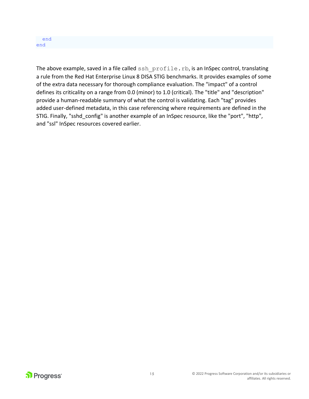

The above example, saved in a file called ssh profile.rb, is an InSpec control, translating a rule from the Red Hat Enterprise Linux 8 DISA STIG benchmarks. It provides examples of some of the extra data necessary for thorough compliance evaluation. The "impact" of a control defines its criticality on a range from 0.0 (minor) to 1.0 (critical). The "title" and "description" provide a human-readable summary of what the control is validating. Each "tag" provides added user-defined metadata, in this case referencing where requirements are defined in the STIG. Finally, "sshd\_config" is another example of an InSpec resource, like the "port", "http", and "ssl" InSpec resources covered earlier.

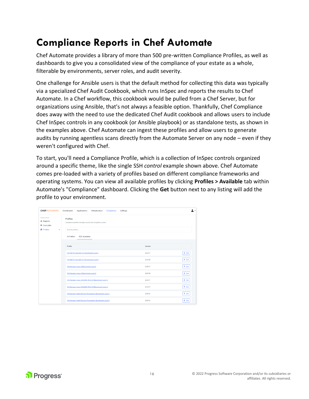### <span id="page-15-0"></span>**Compliance Reports in Chef Automate**

Chef Automate provides a library of more than 500 pre-written Compliance Profiles, as well as dashboards to give you a consolidated view of the compliance of your estate as a whole, filterable by environments, server roles, and audit severity.

One challenge for Ansible users is that the default method for collecting this data was typically via a specialized Chef Audit Cookbook, which runs InSpec and reports the results to Chef Automate. In a Chef workflow, this cookbook would be pulled from a Chef Server, but for organizations using Ansible, that's not always a feasible option. Thankfully, Chef Compliance does away with the need to use the dedicated Chef Audit cookbook and allows users to include Chef InSpec controls in any cookbook (or Ansible playbook) or as standalone tests, as shown in the examples above. Chef Automate can ingest these profiles and allow users to generate audits by running agentless scans directly from the Automate Server on any node – even if they weren't configured with Chef.

To start, you'll need a Compliance Profile, which is a collection of InSpec controls organized around a specific theme, like the single SSH *control* example shown above. Chef Automate comes pre-loaded with a variety of profiles based on different compliance frameworks and operating systems. You can view all available profiles by clicking **Profiles > Available** tab within Automate's "Compliance" dashboard. Clicking the **Get** button next to any listing will add the profile to your environment.

| <b>CHEFAUTOMATE</b>                                                      | Dashboards<br>Applications<br>Infrastructure<br>Settings<br>Compliance                   |             | • ±             |
|--------------------------------------------------------------------------|------------------------------------------------------------------------------------------|-------------|-----------------|
| COMPLIANCE<br><b>di</b> Reports<br>® Scan Jobs<br><b>D</b> Profiles<br>× | Profiles<br>Compliance profiles manage security and compliance scans.<br>Search profiles |             |                 |
|                                                                          | 4 Profiles<br>501 Available                                                              |             |                 |
|                                                                          | Profile                                                                                  | Version     |                 |
|                                                                          | CIS AIX 5.3 and AIX 6.1 Benchmark Level 1                                                | $1.1.0 - 7$ | $\pm$ Get       |
|                                                                          | CIS AIX 5.3 and AIX 6.1 Benchmark Level 2                                                | $1.1.0 - 6$ | $\pm$ Get       |
|                                                                          | CIS Amazon Linux 2 Benchmark Level 1                                                     | $1.0.0 - 7$ | $\pm$ Get       |
|                                                                          | CIS Amazon Linux 2 Benchmark Level 2                                                     | $1.0.0 - 8$ | $\triangle$ Get |
|                                                                          | CIS Amazon Linux 2014.09-2015.03 Benchmark Level 1                                       | $1.1.0 - 7$ | $\pm$ Get       |
|                                                                          | CIS Amazon Linux 2014.09-2015.03 Benchmark Level 2                                       | $1.1.0 - 7$ | $\pm$ Get       |
|                                                                          | CIS Amazon Web Services Foundation Benchmark Level 1                                     | $1.0.0 - 2$ | $\pm$ Get       |
|                                                                          | CIS Amazon Web Services Foundation Benchmark Level 2                                     | $1.0.0 - 2$ | $\pm$ Get       |

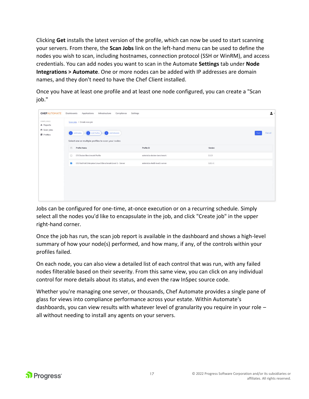Clicking **Get** installs the latest version of the profile, which can now be used to start scanning your servers. From there, the **Scan Jobs** link on the left-hand menu can be used to define the nodes you wish to scan, including hostnames, connection protocol (SSH or WinRM), and access credentials. You can add nodes you want to scan in the Automate **Settings** tab under **Node Integrations > Automate**. One or more nodes can be added with IP addresses are domain names, and they don't need to have the Chef Client installed.

Once you have at least one profile and at least one node configured, you can create a "Scan job."

| <b>CHEFAUTOMATE</b>            | Applications<br>Compliance<br>Dashboards<br>Infrastructure                   | Settings                      |             | 2.                    |
|--------------------------------|------------------------------------------------------------------------------|-------------------------------|-------------|-----------------------|
| COMPLIANCE<br><b>d</b> Reports | Scan jobs > Create new job                                                   |                               |             |                       |
| A Scan Jobs<br><b>Profiles</b> | Add Schedule<br>Add Nodes - Add Profiles                                     |                               |             | Cancel<br><b>Next</b> |
|                                | Select one or multiple profiles to scan your nodes<br>$\Box$<br>Profile Name | Profile ID                    | Version     |                       |
|                                | CIS Docker Benchmark Profile<br>D                                            | admin/cis-docker-benchmark    | 2.1.3       |                       |
|                                | ø<br>CIS Red Hat Enterprise Linux 8 Benchmark Level 1 - Server               | admin/cis-rhel8-level1-server | $1.0.1 - 1$ |                       |
|                                |                                                                              |                               |             |                       |
|                                |                                                                              |                               |             |                       |
|                                |                                                                              |                               |             |                       |
|                                |                                                                              |                               |             |                       |

Jobs can be configured for one-time, at-once execution or on a recurring schedule. Simply select all the nodes you'd like to encapsulate in the job, and click "Create job" in the upper right-hand corner.

Once the job has run, the scan job report is available in the dashboard and shows a high-level summary of how your node(s) performed, and how many, if any, of the controls within your profiles failed.

On each node, you can also view a detailed list of each control that was run, with any failed nodes filterable based on their severity. From this same view, you can click on any individual control for more details about its status, and even the raw InSpec source code.

Whether you're managing one server, or thousands, Chef Automate provides a single pane of glass for views into compliance performance across your estate. Within Automate's dashboards, you can view results with whatever level of granularity you require in your role – all without needing to install any agents on your servers.

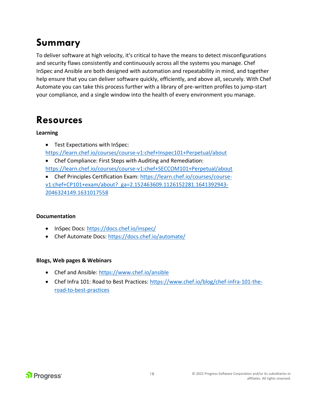## <span id="page-17-0"></span>**Summary**

To deliver software at high velocity, it's critical to have the means to detect misconfigurations and security flaws consistently and continuously across all the systems you manage. Chef InSpec and Ansible are both designed with automation and repeatability in mind, and together help ensure that you can deliver software quickly, efficiently, and above all, securely. With Chef Automate you can take this process further with a library of pre-written profiles to jump-start your compliance, and a single window into the health of every environment you manage.

#### <span id="page-17-1"></span>**Resources**

#### **Learning**

- Test Expectations with InSpec: <https://learn.chef.io/courses/course-v1:chef+Inspec101+Perpetual/about>
- Chef Compliance: First Steps with Auditing and Remediation: <https://learn.chef.io/courses/course-v1:chef+SECCOM101+Perpetual/about>
- Chef Principles Certification Exam: [https://learn.chef.io/courses/course](https://learn.chef.io/courses/course-v1:chef+CP101+exam/about?_ga=2.152463609.1126152281.1641392943-2046324149.1631017558)[v1:chef+CP101+exam/about?\\_ga=2.152463609.1126152281.1641392943-](https://learn.chef.io/courses/course-v1:chef+CP101+exam/about?_ga=2.152463609.1126152281.1641392943-2046324149.1631017558) [2046324149.1631017558](https://learn.chef.io/courses/course-v1:chef+CP101+exam/about?_ga=2.152463609.1126152281.1641392943-2046324149.1631017558)

#### **Documentation**

- InSpec Docs:<https://docs.chef.io/inspec/>
- Chef Automate Docs:<https://docs.chef.io/automate/>

#### **Blogs, Web pages & Webinars**

- Chef and Ansible:<https://www.chef.io/ansible>
- Chef Infra 101: Road to Best Practices: [https://www.chef.io/blog/chef-infra-101-the](https://www.chef.io/blog/chef-infra-101-the-road-to-best-practices)[road-to-best-practices](https://www.chef.io/blog/chef-infra-101-the-road-to-best-practices)